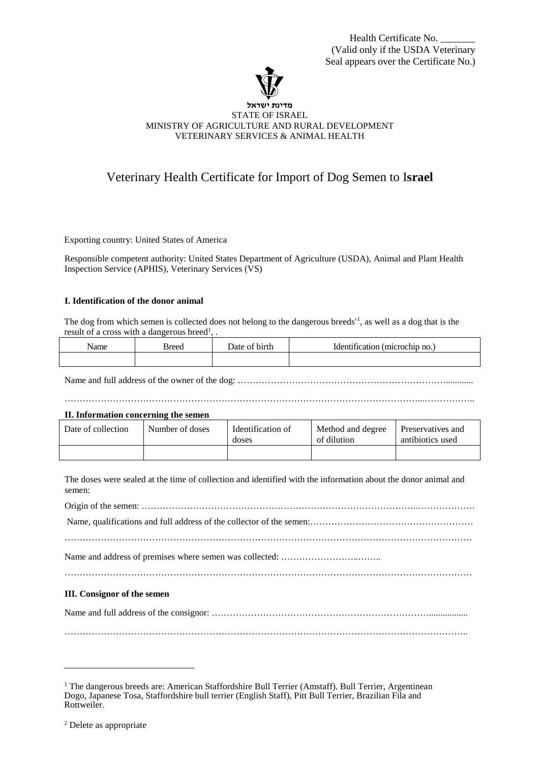Health Certificate No. (Valid only if the USDA Veterinary Seal appears over the Certificate No.)



#### **מדינת ישראל** STATE OF ISRAEL MINISTRY OF AGRICULTURE AND RURAL DEVELOPMENT VETERINARY SERVICES & ANIMAL HEALTH

# Veterinary Health Certificate for Import of Dog Semen to I**srael**

Exporting country: United States of America

Responsible competent authority: United States Department of Agriculture (USDA), Animal and Plant Health Inspection Service (APHIS), Veterinary Services (VS)

# **I. Identification of the donor animal**

The dog from which semen is collected does not belong to the dangerous breeds'[1](#page-0-0) , as well as a dog that is the result of a cross with a dangerous breed<sup>1</sup>, .

| Name | -lraar<br>w.<br>. | birth<br>Jate.<br>$\sim$ | $\cap$ no no.<br>Identification<br>' microc<br>.<br>__ |
|------|-------------------|--------------------------|--------------------------------------------------------|
|      |                   |                          |                                                        |

Name and full address of the owner of the dog: ……………………………………………………………............

………………………………………………………………………………………………………...……………..

#### **II. Information concerning the semen**

| Date of collection | Number of doses | Identification of<br>doses | Method and degree<br>of dilution | Preservatives and<br>antibiotics used |
|--------------------|-----------------|----------------------------|----------------------------------|---------------------------------------|
|                    |                 |                            |                                  |                                       |

The doses were sealed at the time of collection and identified with the information about the donor animal and semen:

Origin of the semen: ………………………………………………………………………………..………………. Name, qualifications and full address of the collector of the semen:……………………………………………… ……………………………………………………………………………………………………………………… Name and address of premises where semen was collected: ……………………..……..

#### **III. Consignor of the semen**

Name and full address of the consignor: ……………………………………………………………….................

……………………………………………………………………………………………………………………..

<span id="page-0-0"></span><sup>&</sup>lt;sup>1</sup> The dangerous breeds are: American Staffordshire Bull Terrier (Amstaff). Bull Terrier, Argentinean Dogo, Japanese Tosa, Staffordshire bull terrier (English Staff), Pitt Bull Terrier, Brazilian Fila and Rottweiler.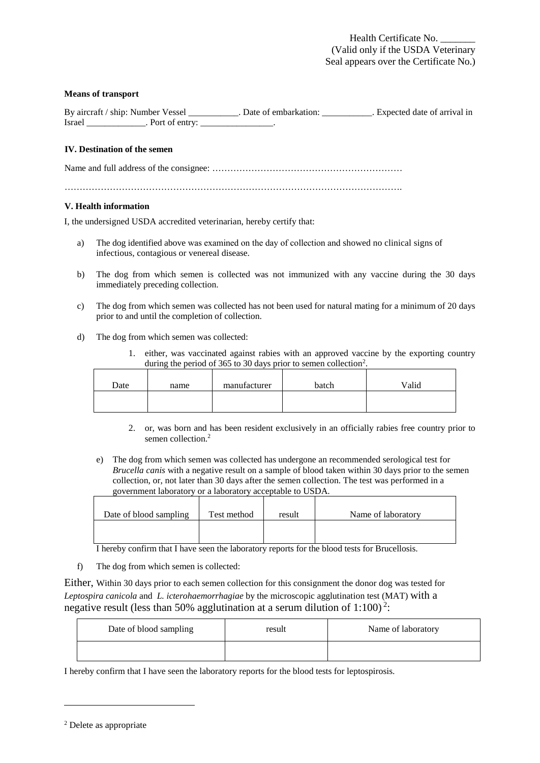#### **Means of transport**

|        | By aircraft / ship: Number Vessel | Date of embarkation: | Expected date of arrival in |
|--------|-----------------------------------|----------------------|-----------------------------|
| Israel | Port of entry:                    |                      |                             |

## **IV. Destination of the semen**

Name and full address of the consignee: ………………………………………………………

………………………………………………………………………………………………….

## **V. Health information**

I, the undersigned USDA accredited veterinarian, hereby certify that:

- a) The dog identified above was examined on the day of collection and showed no clinical signs of infectious, contagious or venereal disease.
- b) The dog from which semen is collected was not immunized with any vaccine during the 30 days immediately preceding collection.
- c) The dog from which semen was collected has not been used for natural mating for a minimum of 20 days prior to and until the completion of collection.
- d) The dog from which semen was collected:
	- 1. either, was vaccinated against rabies with an approved vaccine by the exporting country during the period of 365 to 30 days prior to semen collection<sup>[2](#page-1-0)</sup>.

| Date | name | manufacturer | batch | Valid |
|------|------|--------------|-------|-------|
|      |      |              |       |       |

- 2. or, was born and has been resident exclusively in an officially rabies free country prior to semen collection. 2
- e) The dog from which semen was collected has undergone an recommended serological test for *Brucella canis* with a negative result on a sample of blood taken within 30 days prior to the semen collection, or, not later than 30 days after the semen collection. The test was performed in a government laboratory or a laboratory acceptable to USDA.

| Date of blood sampling | Test method | result | Name of laboratory |
|------------------------|-------------|--------|--------------------|
|                        |             |        |                    |

I hereby confirm that I have seen the laboratory reports for the blood tests for Brucellosis.

f) The dog from which semen is collected:

Either, Within 30 days prior to each semen collection for this consignment the donor dog was tested for *Leptospira canicola* and *L. icterohaemorrhagiae* by the microscopic agglutination test (MAT) with a negative result (less than 50% agglutination at a serum dilution of  $1:100$ )<sup>2</sup>:

| Date of blood sampling | result | Name of laboratory |
|------------------------|--------|--------------------|
|                        |        |                    |

I hereby confirm that I have seen the laboratory reports for the blood tests for leptospirosis.

<span id="page-1-0"></span><sup>2</sup> Delete as appropriate